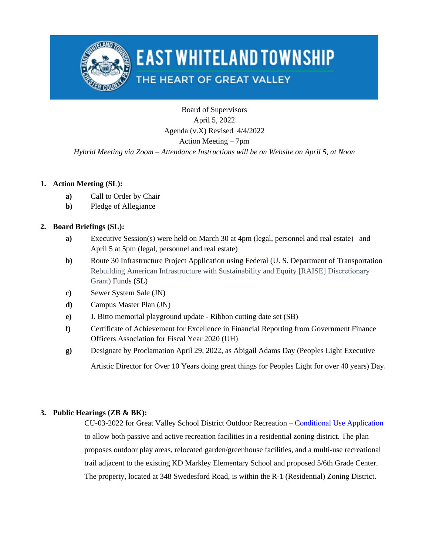

# **EAST WHITELAND TOWNSHIP**

## THE HEART OF GREAT VALLEY

Board of Supervisors April 5, 2022 Agenda (v.X) Revised 4/4/2022 Action Meeting – 7pm *Hybrid Meeting via Zoom – Attendance Instructions will be on Website on April 5, at Noon*

### **1. Action Meeting (SL):**

- **a)** Call to Order by Chair
- **b)** Pledge of Allegiance

### **2. Board Briefings (SL):**

- **a)** Executive Session(s) were held on March 30 at 4pm (legal, personnel and real estate) and April 5 at 5pm (legal, personnel and real estate)
- **b**) Route 30 Infrastructure Project Application using Federal (U. S. Department of Transportation Rebuilding American Infrastructure with Sustainability and Equity [RAISE] Discretionary Grant) Funds (SL)
- **c)** Sewer System Sale (JN)
- **d)** Campus Master Plan (JN)
- **e)** J. Bitto memorial playground update Ribbon cutting date set (SB)
- **f)** Certificate of Achievement for Excellence in Financial Reporting from Government Finance Officers Association for Fiscal Year 2020 (UH)
- **g)** Designate by Proclamation April 29, 2022, as Abigail Adams Day (Peoples Light Executive

Artistic Director for Over 10 Years doing great things for Peoples Light for over 40 years) Day.

### **3. Public Hearings (ZB & BK):**

CU-03-2022 for Great Valley School District Outdoor Recreation – [Conditional Use Application](https://www.eastwhiteland.org/DocumentCenter/Index/315) to allow both passive and active recreation facilities in a residential zoning district. The plan proposes outdoor play areas, relocated garden/greenhouse facilities, and a multi-use recreational trail adjacent to the existing KD Markley Elementary School and proposed 5/6th Grade Center. The property, located at 348 Swedesford Road, is within the R-1 (Residential) Zoning District.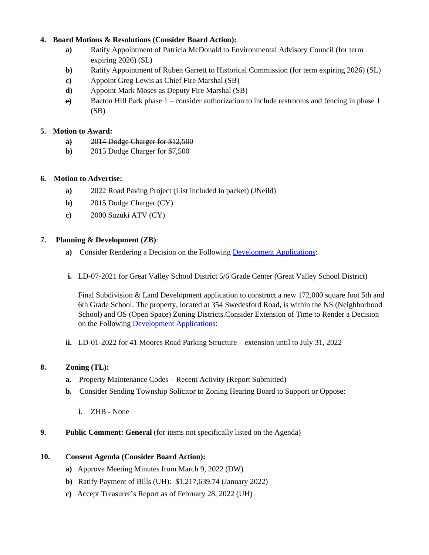#### **4. Board Motions & Resolutions (Consider Board Action):**

- **a)** Ratify Appointment of Patricia McDonald to Environmental Advisory Council (for term expiring 2026) (SL)
- **b**) Ratify Appointment of Ruben Garrett to Historical Commission (for term expiring 2026) (SL)
- **c)** Appoint Greg Lewis as Chief Fire Marshal (SB)
- **d)** Appoint Mark Moses as Deputy Fire Marshal (SB)
- **e)** Bacton Hill Park phase 1 consider authorization to include restrooms and fencing in phase 1 (SB)

#### **5. Motion to Award:**

- **a)** 2014 Dodge Charger for \$12,500
- **b)** 2015 Dodge Charger for \$7,500

#### **6. Motion to Advertise:**

- **a)** 2022 Road Paving Project (List included in packet) (JNeild)
- **b)** 2015 Dodge Charger (CY)
- **c)** 2000 Suzuki ATV (CY)

#### **7. Planning & Development (ZB)**:

- **a)** Consider Rendering a Decision on the Following [Development Applications](https://www.eastwhiteland.org/305/Land-Developments):
- **i.** LD-07-2021 for Great Valley School District 5/6 Grade Center (Great Valley School District)

Final Subdivision & Land Development application to construct a new 172,000 square foot 5th and 6th Grade School. The property, located at 354 Swedesford Road, is within the NS (Neighborhood School) and OS (Open Space) Zoning Districts.Consider Extension of Time to Render a Decision on the Following [Development Applications:](https://www.eastwhiteland.org/305/Land-Developments)

**ii.** LD-01-2022 for 41 Moores Road Parking Structure – extension until to July 31, 2022

#### **8. Zoning (TL):**

- **a.** Property Maintenance Codes Recent Activity (Report Submitted)
- **b.** Consider Sending Township Solicitor to Zoning Hearing Board to Support or Oppose:
	- ZHB None
- **9. Public Comment: General** (for items not specifically listed on the Agenda)

#### **10. Consent Agenda (Consider Board Action):**

- **a)** Approve Meeting Minutes from March 9, 2022 (DW)
- **b)** Ratify Payment of Bills (UH): \$1,217,639.74 (January 2022)
- **c)** Accept Treasurer's Report as of February 28, 2022 (UH)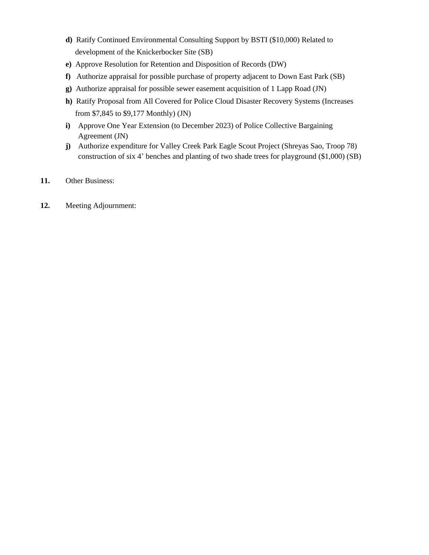- **d)** Ratify Continued Environmental Consulting Support by BSTI (\$10,000) Related to development of the Knickerbocker Site (SB)
- **e)** Approve Resolution for Retention and Disposition of Records (DW)
- **f)** Authorize appraisal for possible purchase of property adjacent to Down East Park (SB)
- **g)** Authorize appraisal for possible sewer easement acquisition of 1 Lapp Road (JN)
- **h)** Ratify Proposal from All Covered for Police Cloud Disaster Recovery Systems (Increases from \$7,845 to \$9,177 Monthly) (JN)
- **i)** Approve One Year Extension (to December 2023) of Police Collective Bargaining Agreement (JN)
- **j)** Authorize expenditure for Valley Creek Park Eagle Scout Project (Shreyas Sao, Troop 78) construction of six 4' benches and planting of two shade trees for playground (\$1,000) (SB)
- **11.** Other Business:
- **12.** Meeting Adjournment: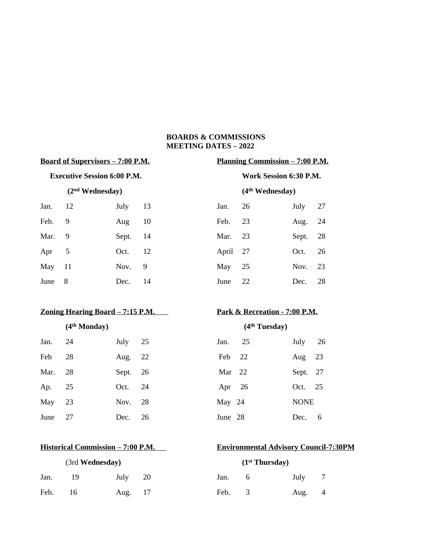#### **BOARDS & COMMISSIONS MEETING DATES – 2022**

# **Board of Supervisors – 7:00 P.M. Planning Commission – 7:00 P.M. Executive Session 6:00 P.M. Work Session 6:30 P.M. (2nd Wednesday) (4th Wednesday)**  Jan. 12 July 13 Jan. 26 July 27 Feb. 9 Aug 10 Feb. 23 Aug. 24 Mar. 9 Sept. 14 Mar. 23 Sept. 28 Apr 5 Oct. 12 April 27 Oct. 26 May 11 Nov. 9 May 25 Nov. 23 June 8 Dec. 14 June 22 Dec. 28

#### **<u>Zoning Hearing Board – 7:15 P.M. Park & Recreation - 7:00 P.M.</u>**

| Jan. 24  | July 25  | Jan. 25  | July 26  |  |
|----------|----------|----------|----------|--|
| Feb 28   | Aug. 22  | Feb 22   | Aug $23$ |  |
| Mar. 28  | Sept. 26 | Mar 22   | Sept. 27 |  |
| Ap. 25   | Oct. 24  | Apr $26$ | Oct. 25  |  |
| May $23$ | Nov. 28  | May 24   | NONE     |  |
| June 27  | Dec. 26  | June 28  | Dec. 6   |  |

| (3rd Wednesday) |    |         |  | (1 <sup>st</sup> Thursday) |          |      |                |
|-----------------|----|---------|--|----------------------------|----------|------|----------------|
| Jan.            | 19 | July 20 |  | Jan.                       | $\sigma$ | July | $\overline{7}$ |
| Feb.            | 16 | Aug. 17 |  | Feb.                       |          | Aug. | $\overline{4}$ |

| Jan.     | - 26 | July     | 27   |
|----------|------|----------|------|
| Feb.     | - 23 | Aug. 24  |      |
| Mar.     | - 23 | Sept. 28 |      |
| April 27 |      | Oct.     | 26   |
| May 25   |      | Nov. 23  |      |
| June     | 22   | Dec.     | - 28 |

### **(4th Monday) (4th Tuesday)**

| Jan.     | 25 |  | July $26$   |  |
|----------|----|--|-------------|--|
| Feb      | 22 |  | Aug $23$    |  |
| Mar $22$ |    |  | Sept. 27    |  |
| Apr $26$ |    |  | Oct. 25     |  |
| May 24   |    |  | <b>NONE</b> |  |
| June 28  |    |  | Dec. 6      |  |

### **Historical Commission – 7:00 P.M. Environmental Advisory Council-7:30PM**

|      | (1 <sup>st</sup> Thursday) |      |   |
|------|----------------------------|------|---|
| Jan. | 6                          | July | 7 |
| Feb. | 3                          | Aug. | 4 |